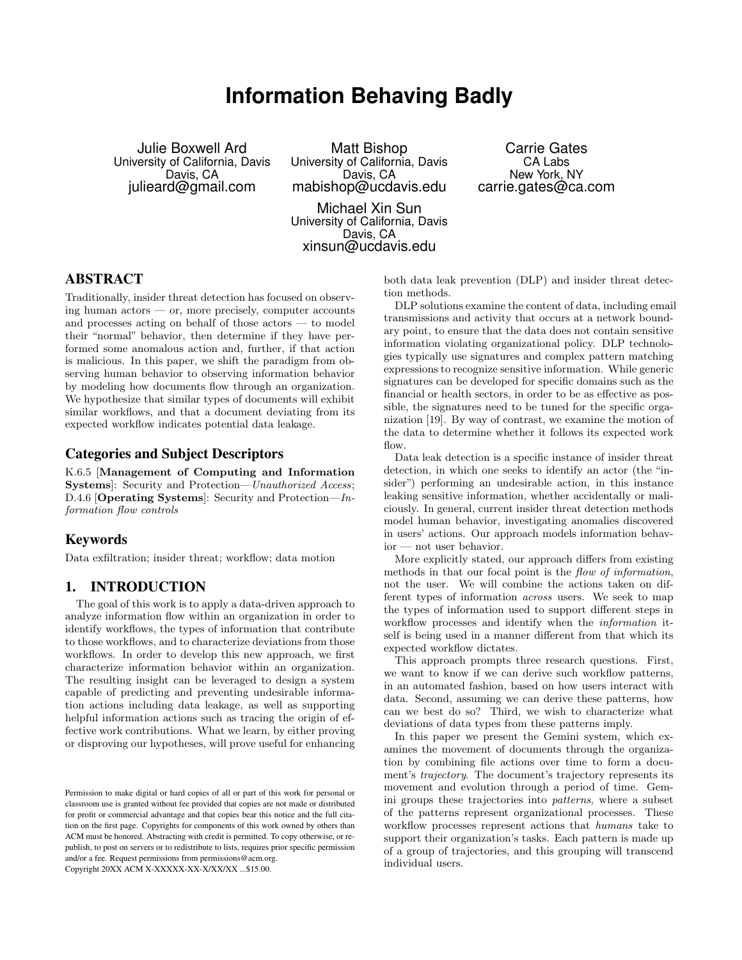# **Information Behaving Badly**

Julie Boxwell Ard University of California, Davis Davis, CA julieard@gmail.com

Matt Bishop University of California, Davis Davis, CA mabishop@ucdavis.edu

Michael Xin Sun University of California, Davis Davis, CA xinsun@ucdavis.edu

Carrie Gates CA Labs New York, NY carrie.gates@ca.com

# ABSTRACT

Traditionally, insider threat detection has focused on observing human actors — or, more precisely, computer accounts and processes acting on behalf of those actors — to model their "normal" behavior, then determine if they have performed some anomalous action and, further, if that action is malicious. In this paper, we shift the paradigm from observing human behavior to observing information behavior by modeling how documents flow through an organization. We hypothesize that similar types of documents will exhibit similar workflows, and that a document deviating from its expected workflow indicates potential data leakage.

## Categories and Subject Descriptors

K.6.5 [Management of Computing and Information Systems]: Security and Protection—Unauthorized Access; D.4.6 [Operating Systems]: Security and Protection—Information flow controls

# Keywords

Data exfiltration; insider threat; workflow; data motion

# 1. INTRODUCTION

The goal of this work is to apply a data-driven approach to analyze information flow within an organization in order to identify workflows, the types of information that contribute to those workflows, and to characterize deviations from those workflows. In order to develop this new approach, we first characterize information behavior within an organization. The resulting insight can be leveraged to design a system capable of predicting and preventing undesirable information actions including data leakage, as well as supporting helpful information actions such as tracing the origin of effective work contributions. What we learn, by either proving or disproving our hypotheses, will prove useful for enhancing

Copyright 20XX ACM X-XXXXX-XX-X/XX/XX ...\$15.00.

both data leak prevention (DLP) and insider threat detection methods.

DLP solutions examine the content of data, including email transmissions and activity that occurs at a network boundary point, to ensure that the data does not contain sensitive information violating organizational policy. DLP technologies typically use signatures and complex pattern matching expressions to recognize sensitive information. While generic signatures can be developed for specific domains such as the financial or health sectors, in order to be as effective as possible, the signatures need to be tuned for the specific organization [19]. By way of contrast, we examine the motion of the data to determine whether it follows its expected work flow.

Data leak detection is a specific instance of insider threat detection, in which one seeks to identify an actor (the "insider") performing an undesirable action, in this instance leaking sensitive information, whether accidentally or maliciously. In general, current insider threat detection methods model human behavior, investigating anomalies discovered in users' actions. Our approach models information behavior — not user behavior.

More explicitly stated, our approach differs from existing methods in that our focal point is the flow of information, not the user. We will combine the actions taken on different types of information across users. We seek to map the types of information used to support different steps in workflow processes and identify when the information itself is being used in a manner different from that which its expected workflow dictates.

This approach prompts three research questions. First, we want to know if we can derive such workflow patterns, in an automated fashion, based on how users interact with data. Second, assuming we can derive these patterns, how can we best do so? Third, we wish to characterize what deviations of data types from these patterns imply.

In this paper we present the Gemini system, which examines the movement of documents through the organization by combining file actions over time to form a document's trajectory. The document's trajectory represents its movement and evolution through a period of time. Gemini groups these trajectories into patterns, where a subset of the patterns represent organizational processes. These workflow processes represent actions that humans take to support their organization's tasks. Each pattern is made up of a group of trajectories, and this grouping will transcend individual users.

Permission to make digital or hard copies of all or part of this work for personal or classroom use is granted without fee provided that copies are not made or distributed for profit or commercial advantage and that copies bear this notice and the full citation on the first page. Copyrights for components of this work owned by others than ACM must be honored. Abstracting with credit is permitted. To copy otherwise, or republish, to post on servers or to redistribute to lists, requires prior specific permission and/or a fee. Request permissions from permissions@acm.org.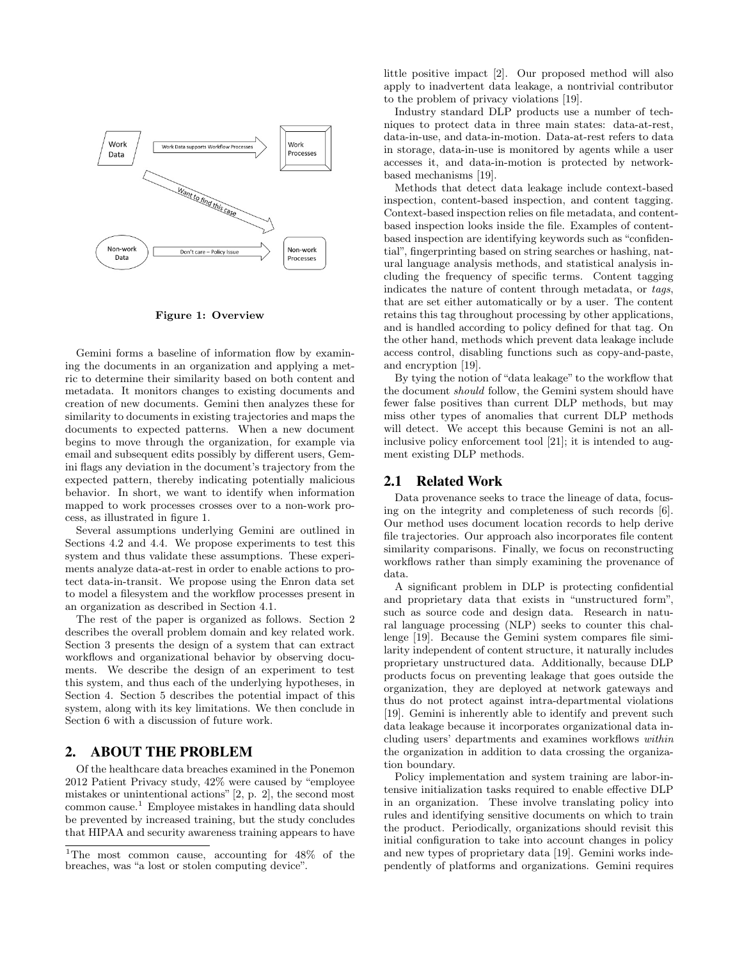

Figure 1: Overview

Gemini forms a baseline of information flow by examining the documents in an organization and applying a metric to determine their similarity based on both content and metadata. It monitors changes to existing documents and creation of new documents. Gemini then analyzes these for similarity to documents in existing trajectories and maps the documents to expected patterns. When a new document begins to move through the organization, for example via email and subsequent edits possibly by different users, Gemini flags any deviation in the document's trajectory from the expected pattern, thereby indicating potentially malicious behavior. In short, we want to identify when information mapped to work processes crosses over to a non-work process, as illustrated in figure 1.

Several assumptions underlying Gemini are outlined in Sections 4.2 and 4.4. We propose experiments to test this system and thus validate these assumptions. These experiments analyze data-at-rest in order to enable actions to protect data-in-transit. We propose using the Enron data set to model a filesystem and the workflow processes present in an organization as described in Section 4.1.

The rest of the paper is organized as follows. Section 2 describes the overall problem domain and key related work. Section 3 presents the design of a system that can extract workflows and organizational behavior by observing documents. We describe the design of an experiment to test this system, and thus each of the underlying hypotheses, in Section 4. Section 5 describes the potential impact of this system, along with its key limitations. We then conclude in Section 6 with a discussion of future work.

# 2. ABOUT THE PROBLEM

Of the healthcare data breaches examined in the Ponemon 2012 Patient Privacy study, 42% were caused by "employee mistakes or unintentional actions" [2, p. 2], the second most common cause.<sup>1</sup> Employee mistakes in handling data should be prevented by increased training, but the study concludes that HIPAA and security awareness training appears to have little positive impact [2]. Our proposed method will also apply to inadvertent data leakage, a nontrivial contributor to the problem of privacy violations [19].

Industry standard DLP products use a number of techniques to protect data in three main states: data-at-rest, data-in-use, and data-in-motion. Data-at-rest refers to data in storage, data-in-use is monitored by agents while a user accesses it, and data-in-motion is protected by networkbased mechanisms [19].

Methods that detect data leakage include context-based inspection, content-based inspection, and content tagging. Context-based inspection relies on file metadata, and contentbased inspection looks inside the file. Examples of contentbased inspection are identifying keywords such as "confidential", fingerprinting based on string searches or hashing, natural language analysis methods, and statistical analysis including the frequency of specific terms. Content tagging indicates the nature of content through metadata, or tags, that are set either automatically or by a user. The content retains this tag throughout processing by other applications, and is handled according to policy defined for that tag. On the other hand, methods which prevent data leakage include access control, disabling functions such as copy-and-paste, and encryption [19].

By tying the notion of "data leakage" to the workflow that the document should follow, the Gemini system should have fewer false positives than current DLP methods, but may miss other types of anomalies that current DLP methods will detect. We accept this because Gemini is not an allinclusive policy enforcement tool [21]; it is intended to augment existing DLP methods.

#### 2.1 Related Work

Data provenance seeks to trace the lineage of data, focusing on the integrity and completeness of such records [6]. Our method uses document location records to help derive file trajectories. Our approach also incorporates file content similarity comparisons. Finally, we focus on reconstructing workflows rather than simply examining the provenance of data.

A significant problem in DLP is protecting confidential and proprietary data that exists in "unstructured form", such as source code and design data. Research in natural language processing (NLP) seeks to counter this challenge [19]. Because the Gemini system compares file similarity independent of content structure, it naturally includes proprietary unstructured data. Additionally, because DLP products focus on preventing leakage that goes outside the organization, they are deployed at network gateways and thus do not protect against intra-departmental violations [19]. Gemini is inherently able to identify and prevent such data leakage because it incorporates organizational data including users' departments and examines workflows within the organization in addition to data crossing the organization boundary.

Policy implementation and system training are labor-intensive initialization tasks required to enable effective DLP in an organization. These involve translating policy into rules and identifying sensitive documents on which to train the product. Periodically, organizations should revisit this initial configuration to take into account changes in policy and new types of proprietary data [19]. Gemini works independently of platforms and organizations. Gemini requires

<sup>&</sup>lt;sup>1</sup>The most common cause, accounting for  $48\%$  of the breaches, was "a lost or stolen computing device".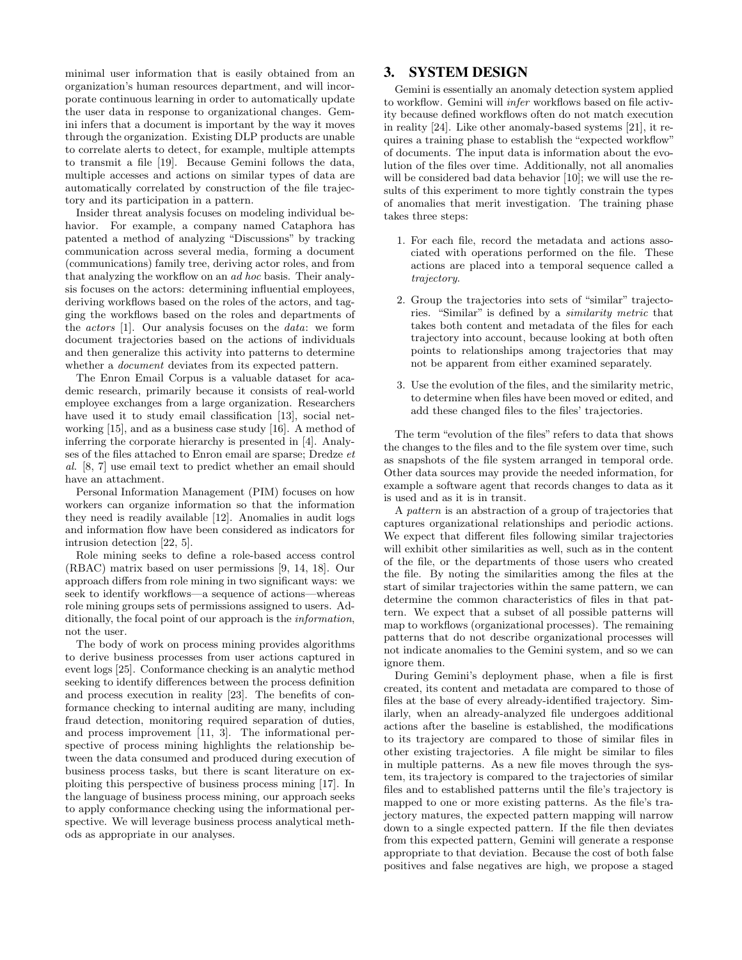minimal user information that is easily obtained from an organization's human resources department, and will incorporate continuous learning in order to automatically update the user data in response to organizational changes. Gemini infers that a document is important by the way it moves through the organization. Existing DLP products are unable to correlate alerts to detect, for example, multiple attempts to transmit a file [19]. Because Gemini follows the data, multiple accesses and actions on similar types of data are automatically correlated by construction of the file trajectory and its participation in a pattern.

Insider threat analysis focuses on modeling individual behavior. For example, a company named Cataphora has patented a method of analyzing "Discussions" by tracking communication across several media, forming a document (communications) family tree, deriving actor roles, and from that analyzing the workflow on an ad hoc basis. Their analysis focuses on the actors: determining influential employees, deriving workflows based on the roles of the actors, and tagging the workflows based on the roles and departments of the actors [1]. Our analysis focuses on the data: we form document trajectories based on the actions of individuals and then generalize this activity into patterns to determine whether a *document* deviates from its expected pattern.

The Enron Email Corpus is a valuable dataset for academic research, primarily because it consists of real-world employee exchanges from a large organization. Researchers have used it to study email classification [13], social networking [15], and as a business case study [16]. A method of inferring the corporate hierarchy is presented in [4]. Analyses of the files attached to Enron email are sparse; Dredze et al. [8, 7] use email text to predict whether an email should have an attachment.

Personal Information Management (PIM) focuses on how workers can organize information so that the information they need is readily available [12]. Anomalies in audit logs and information flow have been considered as indicators for intrusion detection [22, 5].

Role mining seeks to define a role-based access control (RBAC) matrix based on user permissions [9, 14, 18]. Our approach differs from role mining in two significant ways: we seek to identify workflows—a sequence of actions—whereas role mining groups sets of permissions assigned to users. Additionally, the focal point of our approach is the information, not the user.

The body of work on process mining provides algorithms to derive business processes from user actions captured in event logs [25]. Conformance checking is an analytic method seeking to identify differences between the process definition and process execution in reality [23]. The benefits of conformance checking to internal auditing are many, including fraud detection, monitoring required separation of duties, and process improvement [11, 3]. The informational perspective of process mining highlights the relationship between the data consumed and produced during execution of business process tasks, but there is scant literature on exploiting this perspective of business process mining [17]. In the language of business process mining, our approach seeks to apply conformance checking using the informational perspective. We will leverage business process analytical methods as appropriate in our analyses.

# 3. SYSTEM DESIGN

Gemini is essentially an anomaly detection system applied to workflow. Gemini will infer workflows based on file activity because defined workflows often do not match execution in reality [24]. Like other anomaly-based systems [21], it requires a training phase to establish the "expected workflow" of documents. The input data is information about the evolution of the files over time. Additionally, not all anomalies will be considered bad data behavior [10]; we will use the results of this experiment to more tightly constrain the types of anomalies that merit investigation. The training phase takes three steps:

- 1. For each file, record the metadata and actions associated with operations performed on the file. These actions are placed into a temporal sequence called a trajectory.
- 2. Group the trajectories into sets of "similar" trajectories. "Similar" is defined by a similarity metric that takes both content and metadata of the files for each trajectory into account, because looking at both often points to relationships among trajectories that may not be apparent from either examined separately.
- 3. Use the evolution of the files, and the similarity metric, to determine when files have been moved or edited, and add these changed files to the files' trajectories.

The term "evolution of the files" refers to data that shows the changes to the files and to the file system over time, such as snapshots of the file system arranged in temporal orde. Other data sources may provide the needed information, for example a software agent that records changes to data as it is used and as it is in transit.

A pattern is an abstraction of a group of trajectories that captures organizational relationships and periodic actions. We expect that different files following similar trajectories will exhibit other similarities as well, such as in the content of the file, or the departments of those users who created the file. By noting the similarities among the files at the start of similar trajectories within the same pattern, we can determine the common characteristics of files in that pattern. We expect that a subset of all possible patterns will map to workflows (organizational processes). The remaining patterns that do not describe organizational processes will not indicate anomalies to the Gemini system, and so we can ignore them.

During Gemini's deployment phase, when a file is first created, its content and metadata are compared to those of files at the base of every already-identified trajectory. Similarly, when an already-analyzed file undergoes additional actions after the baseline is established, the modifications to its trajectory are compared to those of similar files in other existing trajectories. A file might be similar to files in multiple patterns. As a new file moves through the system, its trajectory is compared to the trajectories of similar files and to established patterns until the file's trajectory is mapped to one or more existing patterns. As the file's trajectory matures, the expected pattern mapping will narrow down to a single expected pattern. If the file then deviates from this expected pattern, Gemini will generate a response appropriate to that deviation. Because the cost of both false positives and false negatives are high, we propose a staged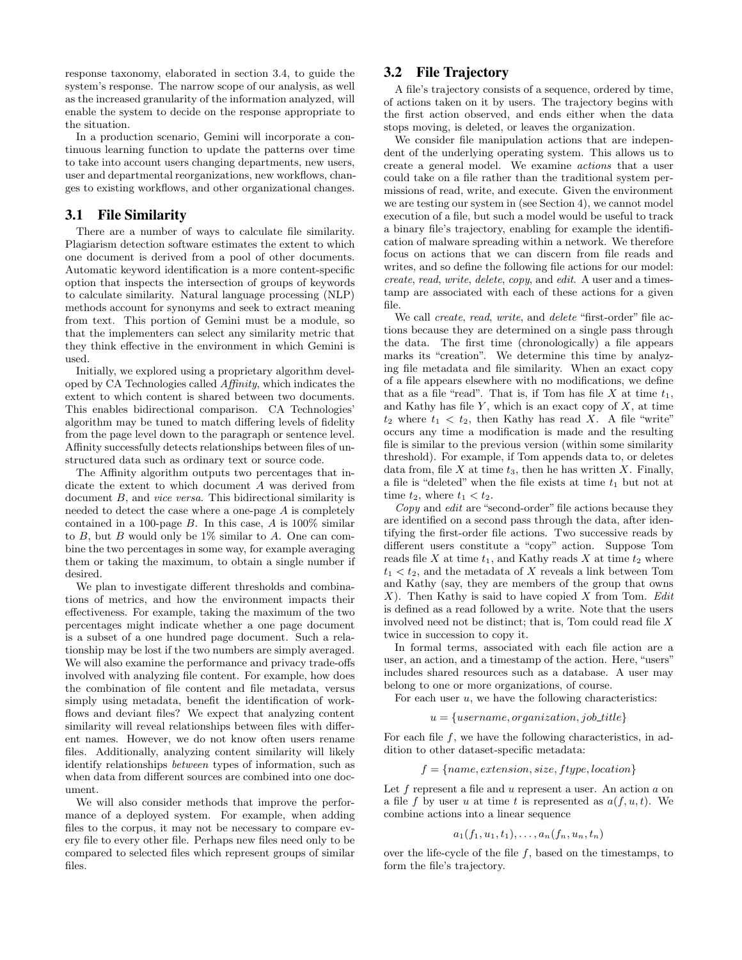response taxonomy, elaborated in section 3.4, to guide the system's response. The narrow scope of our analysis, as well as the increased granularity of the information analyzed, will enable the system to decide on the response appropriate to the situation.

In a production scenario, Gemini will incorporate a continuous learning function to update the patterns over time to take into account users changing departments, new users, user and departmental reorganizations, new workflows, changes to existing workflows, and other organizational changes.

## 3.1 File Similarity

There are a number of ways to calculate file similarity. Plagiarism detection software estimates the extent to which one document is derived from a pool of other documents. Automatic keyword identification is a more content-specific option that inspects the intersection of groups of keywords to calculate similarity. Natural language processing (NLP) methods account for synonyms and seek to extract meaning from text. This portion of Gemini must be a module, so that the implementers can select any similarity metric that they think effective in the environment in which Gemini is used.

Initially, we explored using a proprietary algorithm developed by CA Technologies called Affinity, which indicates the extent to which content is shared between two documents. This enables bidirectional comparison. CA Technologies' algorithm may be tuned to match differing levels of fidelity from the page level down to the paragraph or sentence level. Affinity successfully detects relationships between files of unstructured data such as ordinary text or source code.

The Affinity algorithm outputs two percentages that indicate the extent to which document A was derived from document B, and vice versa. This bidirectional similarity is needed to detect the case where a one-page  $A$  is completely contained in a 100-page  $B$ . In this case,  $A$  is 100% similar to  $B$ , but  $B$  would only be  $1\%$  similar to  $A$ . One can combine the two percentages in some way, for example averaging them or taking the maximum, to obtain a single number if desired.

We plan to investigate different thresholds and combinations of metrics, and how the environment impacts their effectiveness. For example, taking the maximum of the two percentages might indicate whether a one page document is a subset of a one hundred page document. Such a relationship may be lost if the two numbers are simply averaged. We will also examine the performance and privacy trade-offs involved with analyzing file content. For example, how does the combination of file content and file metadata, versus simply using metadata, benefit the identification of workflows and deviant files? We expect that analyzing content similarity will reveal relationships between files with different names. However, we do not know often users rename files. Additionally, analyzing content similarity will likely identify relationships between types of information, such as when data from different sources are combined into one document.

We will also consider methods that improve the performance of a deployed system. For example, when adding files to the corpus, it may not be necessary to compare every file to every other file. Perhaps new files need only to be compared to selected files which represent groups of similar files.

# 3.2 File Trajectory

A file's trajectory consists of a sequence, ordered by time, of actions taken on it by users. The trajectory begins with the first action observed, and ends either when the data stops moving, is deleted, or leaves the organization.

We consider file manipulation actions that are independent of the underlying operating system. This allows us to create a general model. We examine actions that a user could take on a file rather than the traditional system permissions of read, write, and execute. Given the environment we are testing our system in (see Section 4), we cannot model execution of a file, but such a model would be useful to track a binary file's trajectory, enabling for example the identification of malware spreading within a network. We therefore focus on actions that we can discern from file reads and writes, and so define the following file actions for our model: create, read, write, delete, copy, and edit. A user and a timestamp are associated with each of these actions for a given file.

We call *create*, *read*, *write*, and *delete* "first-order" file actions because they are determined on a single pass through the data. The first time (chronologically) a file appears marks its "creation". We determine this time by analyzing file metadata and file similarity. When an exact copy of a file appears elsewhere with no modifications, we define that as a file "read". That is, if Tom has file  $X$  at time  $t_1$ , and Kathy has file  $Y$ , which is an exact copy of  $X$ , at time  $t_2$  where  $t_1 < t_2$ , then Kathy has read X. A file "write" occurs any time a modification is made and the resulting file is similar to the previous version (within some similarity threshold). For example, if Tom appends data to, or deletes data from, file  $X$  at time  $t_3$ , then he has written  $X$ . Finally, a file is "deleted" when the file exists at time  $t_1$  but not at time  $t_2$ , where  $t_1 < t_2$ .

Copy and edit are "second-order" file actions because they are identified on a second pass through the data, after identifying the first-order file actions. Two successive reads by different users constitute a "copy" action. Suppose Tom reads file  $X$  at time  $t_1$ , and Kathy reads  $X$  at time  $t_2$  where  $t_1 < t_2$ , and the metadata of X reveals a link between Tom and Kathy (say, they are members of the group that owns  $X$ ). Then Kathy is said to have copied X from Tom. Edit is defined as a read followed by a write. Note that the users involved need not be distinct; that is, Tom could read file X twice in succession to copy it.

In formal terms, associated with each file action are a user, an action, and a timestamp of the action. Here, "users" includes shared resources such as a database. A user may belong to one or more organizations, of course.

For each user  $u$ , we have the following characteristics:

 $u = \{username, organization, job\_title\}$ 

For each file  $f$ , we have the following characteristics, in addition to other dataset-specific metadata:

 $f = \{name, extension, size,fty, location\}$ 

Let  $f$  represent a file and  $u$  represent a user. An action  $a$  on a file f by user u at time t is represented as  $a(f, u, t)$ . We combine actions into a linear sequence

$$
a_1(f_1,u_1,t_1),\ldots,a_n(f_n,u_n,t_n)
$$

over the life-cycle of the file  $f$ , based on the timestamps, to form the file's trajectory.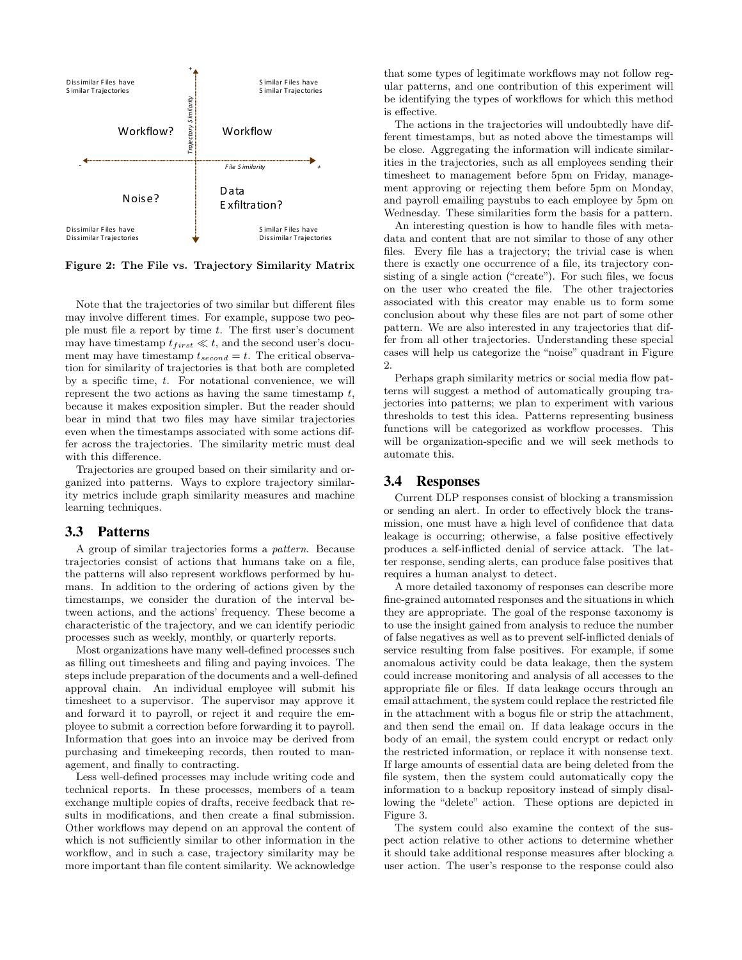

Figure 2: The File vs. Trajectory Similarity Matrix

Note that the trajectories of two similar but different files may involve different times. For example, suppose two people must file a report by time t. The first user's document may have timestamp  $t_{first} \ll t$ , and the second user's document may have timestamp  $t_{second} = t$ . The critical observation for similarity of trajectories is that both are completed by a specific time, t. For notational convenience, we will represent the two actions as having the same timestamp  $t$ , because it makes exposition simpler. But the reader should bear in mind that two files may have similar trajectories even when the timestamps associated with some actions differ across the trajectories. The similarity metric must deal with this difference.

Trajectories are grouped based on their similarity and organized into patterns. Ways to explore trajectory similarity metrics include graph similarity measures and machine learning techniques.

## 3.3 Patterns

A group of similar trajectories forms a pattern. Because trajectories consist of actions that humans take on a file, the patterns will also represent workflows performed by humans. In addition to the ordering of actions given by the timestamps, we consider the duration of the interval between actions, and the actions' frequency. These become a characteristic of the trajectory, and we can identify periodic processes such as weekly, monthly, or quarterly reports.

Most organizations have many well-defined processes such as filling out timesheets and filing and paying invoices. The steps include preparation of the documents and a well-defined approval chain. An individual employee will submit his timesheet to a supervisor. The supervisor may approve it and forward it to payroll, or reject it and require the employee to submit a correction before forwarding it to payroll. Information that goes into an invoice may be derived from purchasing and timekeeping records, then routed to management, and finally to contracting.

Less well-defined processes may include writing code and technical reports. In these processes, members of a team exchange multiple copies of drafts, receive feedback that results in modifications, and then create a final submission. Other workflows may depend on an approval the content of which is not sufficiently similar to other information in the workflow, and in such a case, trajectory similarity may be more important than file content similarity. We acknowledge

that some types of legitimate workflows may not follow regular patterns, and one contribution of this experiment will be identifying the types of workflows for which this method is effective.

The actions in the trajectories will undoubtedly have different timestamps, but as noted above the timestamps will be close. Aggregating the information will indicate similarities in the trajectories, such as all employees sending their timesheet to management before 5pm on Friday, management approving or rejecting them before 5pm on Monday, and payroll emailing paystubs to each employee by 5pm on Wednesday. These similarities form the basis for a pattern.

An interesting question is how to handle files with metadata and content that are not similar to those of any other files. Every file has a trajectory; the trivial case is when there is exactly one occurrence of a file, its trajectory consisting of a single action ("create"). For such files, we focus on the user who created the file. The other trajectories associated with this creator may enable us to form some conclusion about why these files are not part of some other pattern. We are also interested in any trajectories that differ from all other trajectories. Understanding these special cases will help us categorize the "noise" quadrant in Figure 2.

Perhaps graph similarity metrics or social media flow patterns will suggest a method of automatically grouping trajectories into patterns; we plan to experiment with various thresholds to test this idea. Patterns representing business functions will be categorized as workflow processes. This will be organization-specific and we will seek methods to automate this.

#### 3.4 Responses

Current DLP responses consist of blocking a transmission or sending an alert. In order to effectively block the transmission, one must have a high level of confidence that data leakage is occurring; otherwise, a false positive effectively produces a self-inflicted denial of service attack. The latter response, sending alerts, can produce false positives that requires a human analyst to detect.

A more detailed taxonomy of responses can describe more fine-grained automated responses and the situations in which they are appropriate. The goal of the response taxonomy is to use the insight gained from analysis to reduce the number of false negatives as well as to prevent self-inflicted denials of service resulting from false positives. For example, if some anomalous activity could be data leakage, then the system could increase monitoring and analysis of all accesses to the appropriate file or files. If data leakage occurs through an email attachment, the system could replace the restricted file in the attachment with a bogus file or strip the attachment, and then send the email on. If data leakage occurs in the body of an email, the system could encrypt or redact only the restricted information, or replace it with nonsense text. If large amounts of essential data are being deleted from the file system, then the system could automatically copy the information to a backup repository instead of simply disallowing the "delete" action. These options are depicted in Figure 3.

The system could also examine the context of the suspect action relative to other actions to determine whether it should take additional response measures after blocking a user action. The user's response to the response could also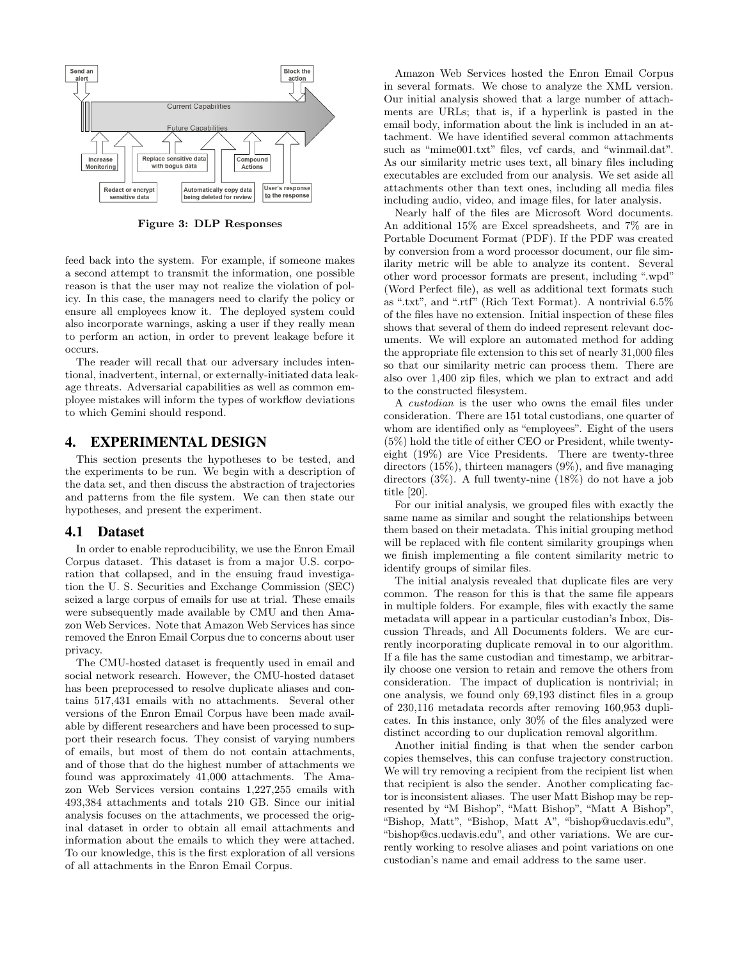

Figure 3: DLP Responses

feed back into the system. For example, if someone makes a second attempt to transmit the information, one possible reason is that the user may not realize the violation of policy. In this case, the managers need to clarify the policy or ensure all employees know it. The deployed system could also incorporate warnings, asking a user if they really mean to perform an action, in order to prevent leakage before it occurs.

The reader will recall that our adversary includes intentional, inadvertent, internal, or externally-initiated data leakage threats. Adversarial capabilities as well as common employee mistakes will inform the types of workflow deviations to which Gemini should respond.

## 4. EXPERIMENTAL DESIGN

This section presents the hypotheses to be tested, and the experiments to be run. We begin with a description of the data set, and then discuss the abstraction of trajectories and patterns from the file system. We can then state our hypotheses, and present the experiment.

## 4.1 Dataset

In order to enable reproducibility, we use the Enron Email Corpus dataset. This dataset is from a major U.S. corporation that collapsed, and in the ensuing fraud investigation the U. S. Securities and Exchange Commission (SEC) seized a large corpus of emails for use at trial. These emails were subsequently made available by CMU and then Amazon Web Services. Note that Amazon Web Services has since removed the Enron Email Corpus due to concerns about user privacy.

The CMU-hosted dataset is frequently used in email and social network research. However, the CMU-hosted dataset has been preprocessed to resolve duplicate aliases and contains 517,431 emails with no attachments. Several other versions of the Enron Email Corpus have been made available by different researchers and have been processed to support their research focus. They consist of varying numbers of emails, but most of them do not contain attachments, and of those that do the highest number of attachments we found was approximately 41,000 attachments. The Amazon Web Services version contains 1,227,255 emails with 493,384 attachments and totals 210 GB. Since our initial analysis focuses on the attachments, we processed the original dataset in order to obtain all email attachments and information about the emails to which they were attached. To our knowledge, this is the first exploration of all versions of all attachments in the Enron Email Corpus.

Amazon Web Services hosted the Enron Email Corpus in several formats. We chose to analyze the XML version. Our initial analysis showed that a large number of attachments are URLs; that is, if a hyperlink is pasted in the email body, information about the link is included in an attachment. We have identified several common attachments such as "mime001.txt" files, vcf cards, and "winmail.dat". As our similarity metric uses text, all binary files including executables are excluded from our analysis. We set aside all attachments other than text ones, including all media files including audio, video, and image files, for later analysis.

Nearly half of the files are Microsoft Word documents. An additional 15% are Excel spreadsheets, and 7% are in Portable Document Format (PDF). If the PDF was created by conversion from a word processor document, our file similarity metric will be able to analyze its content. Several other word processor formats are present, including ".wpd" (Word Perfect file), as well as additional text formats such as ".txt", and ".rtf" (Rich Text Format). A nontrivial 6.5% of the files have no extension. Initial inspection of these files shows that several of them do indeed represent relevant documents. We will explore an automated method for adding the appropriate file extension to this set of nearly 31,000 files so that our similarity metric can process them. There are also over 1,400 zip files, which we plan to extract and add to the constructed filesystem.

A custodian is the user who owns the email files under consideration. There are 151 total custodians, one quarter of whom are identified only as "employees". Eight of the users (5%) hold the title of either CEO or President, while twentyeight (19%) are Vice Presidents. There are twenty-three directors (15%), thirteen managers (9%), and five managing directors (3%). A full twenty-nine (18%) do not have a job title [20].

For our initial analysis, we grouped files with exactly the same name as similar and sought the relationships between them based on their metadata. This initial grouping method will be replaced with file content similarity groupings when we finish implementing a file content similarity metric to identify groups of similar files.

The initial analysis revealed that duplicate files are very common. The reason for this is that the same file appears in multiple folders. For example, files with exactly the same metadata will appear in a particular custodian's Inbox, Discussion Threads, and All Documents folders. We are currently incorporating duplicate removal in to our algorithm. If a file has the same custodian and timestamp, we arbitrarily choose one version to retain and remove the others from consideration. The impact of duplication is nontrivial; in one analysis, we found only 69,193 distinct files in a group of 230,116 metadata records after removing 160,953 duplicates. In this instance, only 30% of the files analyzed were distinct according to our duplication removal algorithm.

Another initial finding is that when the sender carbon copies themselves, this can confuse trajectory construction. We will try removing a recipient from the recipient list when that recipient is also the sender. Another complicating factor is inconsistent aliases. The user Matt Bishop may be represented by "M Bishop", "Matt Bishop", "Matt A Bishop", "Bishop, Matt", "Bishop, Matt A", "bishop@ucdavis.edu", "bishop@cs.ucdavis.edu", and other variations. We are currently working to resolve aliases and point variations on one custodian's name and email address to the same user.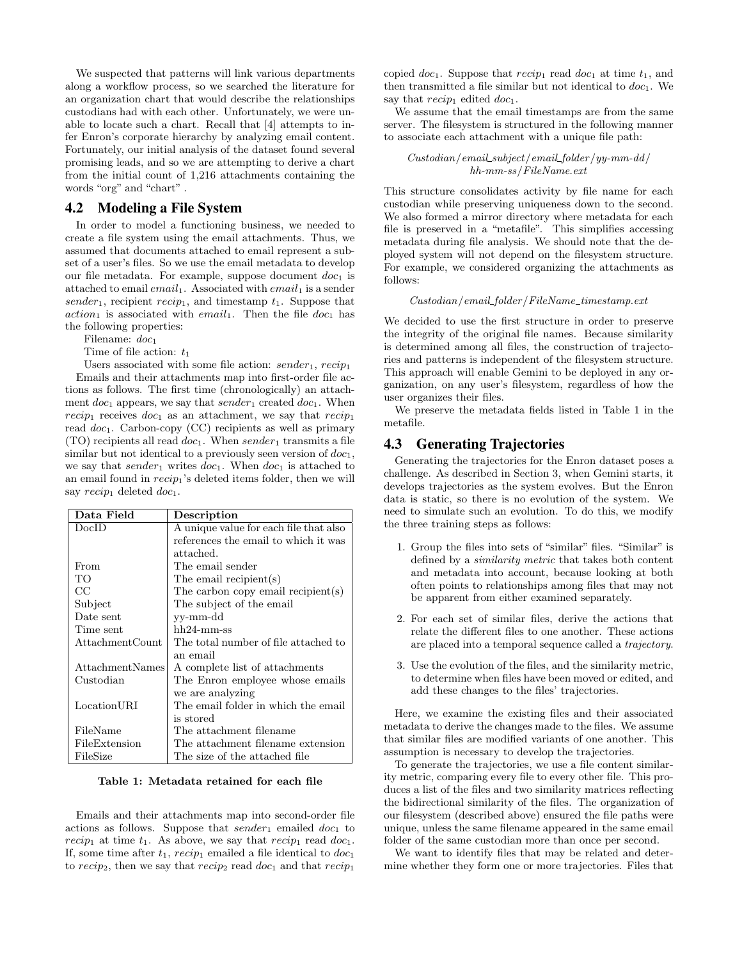We suspected that patterns will link various departments along a workflow process, so we searched the literature for an organization chart that would describe the relationships custodians had with each other. Unfortunately, we were unable to locate such a chart. Recall that [4] attempts to infer Enron's corporate hierarchy by analyzing email content. Fortunately, our initial analysis of the dataset found several promising leads, and so we are attempting to derive a chart from the initial count of 1,216 attachments containing the words "org" and "chart" .

## 4.2 Modeling a File System

In order to model a functioning business, we needed to create a file system using the email attachments. Thus, we assumed that documents attached to email represent a subset of a user's files. So we use the email metadata to develop our file metadata. For example, suppose document  $doc_1$  is attached to email  $email_1$ . Associated with  $email_1$  is a sender sender<sub>1</sub>, recipient recip<sub>1</sub>, and timestamp  $t_1$ . Suppose that  $action<sub>1</sub>$  is associated with  $email<sub>1</sub>$ . Then the file  $doc<sub>1</sub>$  has the following properties:

Filename:  $doc<sub>1</sub>$ 

Time of file action:  $t_1$ 

Users associated with some file action:  $sender_1, recip_1$ Emails and their attachments map into first-order file actions as follows. The first time (chronologically) an attachment  $doc_1$  appears, we say that sender<sub>1</sub> created  $doc_1$ . When  $recip_1$  receives  $doc_1$  as an attachment, we say that  $recip_1$ read  $doc_1$ . Carbon-copy (CC) recipients as well as primary (TO) recipients all read  $doc_1$ . When  $sender_1$  transmits a file similar but not identical to a previously seen version of  $doc_1$ , we say that  $sender_1$  writes  $doc_1$ . When  $doc_1$  is attached to an email found in  $recip<sub>1</sub>$ 's deleted items folder, then we will say  $recip_1$  deleted  $doc_1$ .

| Data Field                  | Description                            |
|-----------------------------|----------------------------------------|
| DocID                       | A unique value for each file that also |
|                             | references the email to which it was   |
|                             | attached.                              |
| From                        | The email sender                       |
| TО                          | The email recipient $(s)$              |
| CС                          | The carbon copy email recipient(s)     |
| Subject                     | The subject of the email               |
| Date sent                   | yy-mm-dd                               |
| Time sent                   | hh24-mm-ss                             |
| $\text{AttentionmentCount}$ | The total number of file attached to   |
|                             | an email                               |
| <b>AttachmentNames</b>      | A complete list of attachments         |
| Custodian                   | The Enron employee whose emails        |
|                             | we are analyzing                       |
| LocationURI                 | The email folder in which the email    |
|                             | is stored                              |
| FileName                    | The attachment filename                |
| FileExtension               | The attachment filename extension      |
| FileSize                    | The size of the attached file          |

#### Table 1: Metadata retained for each file

Emails and their attachments map into second-order file actions as follows. Suppose that  $sender_1$  emailed  $doc_1$  to *recip*<sub>1</sub> at time  $t_1$ . As above, we say that *recip*<sub>1</sub> read *doc*<sub>1</sub>. If, some time after  $t_1$ ,  $recip_1$  emailed a file identical to  $doc_1$ to  $recip_2$ , then we say that  $recip_2$  read  $doc_1$  and that  $recip_1$ 

copied  $doc_1$ . Suppose that  $recip_1$  read  $doc_1$  at time  $t_1$ , and then transmitted a file similar but not identical to  $doc_1$ . We say that  $recip_1$  edited  $doc_1$ .

We assume that the email timestamps are from the same server. The filesystem is structured in the following manner to associate each attachment with a unique file path:

#### $Custodian/email\_subject/email\_folder/yy-mm-dd/$ hh-mm-ss/FileName.ext

This structure consolidates activity by file name for each custodian while preserving uniqueness down to the second. We also formed a mirror directory where metadata for each file is preserved in a "metafile". This simplifies accessing metadata during file analysis. We should note that the deployed system will not depend on the filesystem structure. For example, we considered organizing the attachments as follows:

#### $Custodian/email\_folder/FileName\_timestamp.ext$

We decided to use the first structure in order to preserve the integrity of the original file names. Because similarity is determined among all files, the construction of trajectories and patterns is independent of the filesystem structure. This approach will enable Gemini to be deployed in any organization, on any user's filesystem, regardless of how the user organizes their files.

We preserve the metadata fields listed in Table 1 in the metafile.

#### 4.3 Generating Trajectories

Generating the trajectories for the Enron dataset poses a challenge. As described in Section 3, when Gemini starts, it develops trajectories as the system evolves. But the Enron data is static, so there is no evolution of the system. We need to simulate such an evolution. To do this, we modify the three training steps as follows:

- 1. Group the files into sets of "similar" files. "Similar" is defined by a similarity metric that takes both content and metadata into account, because looking at both often points to relationships among files that may not be apparent from either examined separately.
- 2. For each set of similar files, derive the actions that relate the different files to one another. These actions are placed into a temporal sequence called a trajectory.
- 3. Use the evolution of the files, and the similarity metric, to determine when files have been moved or edited, and add these changes to the files' trajectories.

Here, we examine the existing files and their associated metadata to derive the changes made to the files. We assume that similar files are modified variants of one another. This assumption is necessary to develop the trajectories.

To generate the trajectories, we use a file content similarity metric, comparing every file to every other file. This produces a list of the files and two similarity matrices reflecting the bidirectional similarity of the files. The organization of our filesystem (described above) ensured the file paths were unique, unless the same filename appeared in the same email folder of the same custodian more than once per second.

We want to identify files that may be related and determine whether they form one or more trajectories. Files that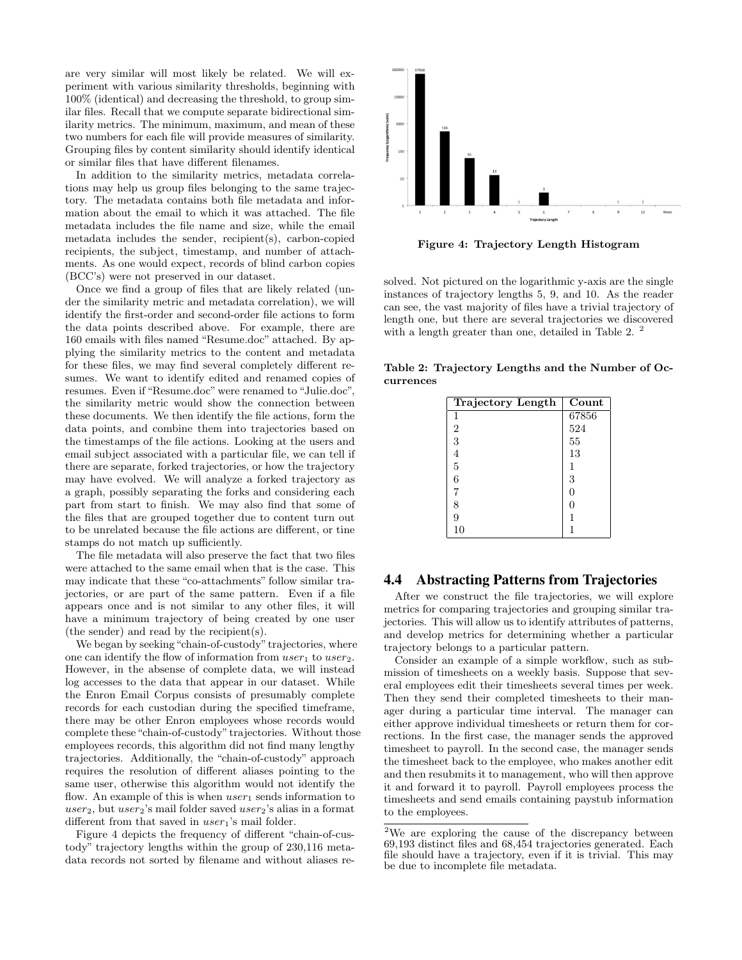are very similar will most likely be related. We will experiment with various similarity thresholds, beginning with 100% (identical) and decreasing the threshold, to group similar files. Recall that we compute separate bidirectional similarity metrics. The minimum, maximum, and mean of these two numbers for each file will provide measures of similarity. Grouping files by content similarity should identify identical or similar files that have different filenames.

In addition to the similarity metrics, metadata correlations may help us group files belonging to the same trajectory. The metadata contains both file metadata and information about the email to which it was attached. The file metadata includes the file name and size, while the email metadata includes the sender, recipient(s), carbon-copied recipients, the subject, timestamp, and number of attachments. As one would expect, records of blind carbon copies (BCC's) were not preserved in our dataset.

Once we find a group of files that are likely related (under the similarity metric and metadata correlation), we will identify the first-order and second-order file actions to form the data points described above. For example, there are 160 emails with files named "Resume.doc" attached. By applying the similarity metrics to the content and metadata for these files, we may find several completely different resumes. We want to identify edited and renamed copies of resumes. Even if "Resume.doc" were renamed to "Julie.doc", the similarity metric would show the connection between these documents. We then identify the file actions, form the data points, and combine them into trajectories based on the timestamps of the file actions. Looking at the users and email subject associated with a particular file, we can tell if there are separate, forked trajectories, or how the trajectory may have evolved. We will analyze a forked trajectory as a graph, possibly separating the forks and considering each part from start to finish. We may also find that some of the files that are grouped together due to content turn out to be unrelated because the file actions are different, or tine stamps do not match up sufficiently.

The file metadata will also preserve the fact that two files were attached to the same email when that is the case. This may indicate that these "co-attachments" follow similar trajectories, or are part of the same pattern. Even if a file appears once and is not similar to any other files, it will have a minimum trajectory of being created by one user (the sender) and read by the recipient(s).

We began by seeking "chain-of-custody" trajectories, where one can identify the flow of information from  $user_1$  to user<sub>2</sub>. However, in the absense of complete data, we will instead log accesses to the data that appear in our dataset. While the Enron Email Corpus consists of presumably complete records for each custodian during the specified timeframe, there may be other Enron employees whose records would complete these "chain-of-custody" trajectories. Without those employees records, this algorithm did not find many lengthy trajectories. Additionally, the "chain-of-custody" approach requires the resolution of different aliases pointing to the same user, otherwise this algorithm would not identify the flow. An example of this is when  $user_1$  sends information to user<sub>2</sub>, but user<sub>2</sub>'s mail folder saved user<sub>2</sub>'s alias in a format different from that saved in  $user_1$ 's mail folder.

Figure 4 depicts the frequency of different "chain-of-custody" trajectory lengths within the group of 230,116 metadata records not sorted by filename and without aliases re-



Figure 4: Trajectory Length Histogram

solved. Not pictured on the logarithmic y-axis are the single instances of trajectory lengths 5, 9, and 10. As the reader can see, the vast majority of files have a trivial trajectory of length one, but there are several trajectories we discovered with a length greater than one, detailed in Table 2.<sup>2</sup>

Table 2: Trajectory Lengths and the Number of Occurrences

| Trajectory Length | Count          |
|-------------------|----------------|
| 1                 | 67856          |
| $\overline{2}$    | 524            |
| 3                 | 55             |
| 4                 | 13             |
| $\overline{5}$    |                |
| 6                 | 3              |
| 7                 | $\overline{0}$ |
| 8                 |                |
| 9                 |                |
| 10                | 1              |

#### 4.4 Abstracting Patterns from Trajectories

After we construct the file trajectories, we will explore metrics for comparing trajectories and grouping similar trajectories. This will allow us to identify attributes of patterns, and develop metrics for determining whether a particular trajectory belongs to a particular pattern.

Consider an example of a simple workflow, such as submission of timesheets on a weekly basis. Suppose that several employees edit their timesheets several times per week. Then they send their completed timesheets to their manager during a particular time interval. The manager can either approve individual timesheets or return them for corrections. In the first case, the manager sends the approved timesheet to payroll. In the second case, the manager sends the timesheet back to the employee, who makes another edit and then resubmits it to management, who will then approve it and forward it to payroll. Payroll employees process the timesheets and send emails containing paystub information to the employees.

<sup>2</sup>We are exploring the cause of the discrepancy between 69,193 distinct files and 68,454 trajectories generated. Each file should have a trajectory, even if it is trivial. This may be due to incomplete file metadata.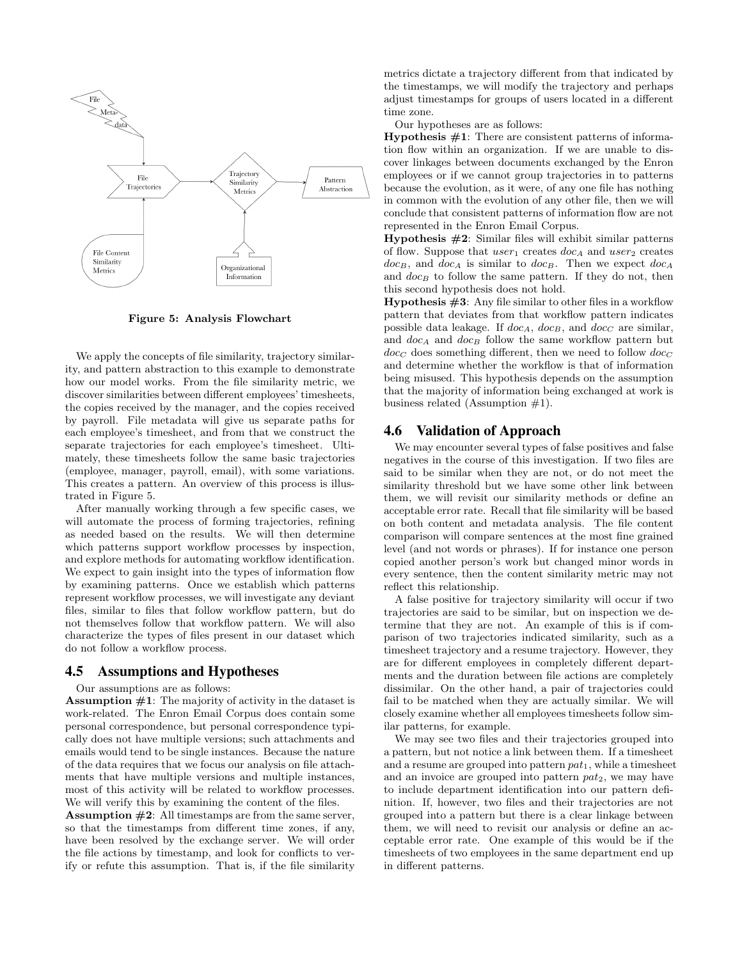

Figure 5: Analysis Flowchart

We apply the concepts of file similarity, trajectory similarity, and pattern abstraction to this example to demonstrate how our model works. From the file similarity metric, we discover similarities between different employees' timesheets, the copies received by the manager, and the copies received by payroll. File metadata will give us separate paths for each employee's timesheet, and from that we construct the separate trajectories for each employee's timesheet. Ultimately, these timesheets follow the same basic trajectories (employee, manager, payroll, email), with some variations. This creates a pattern. An overview of this process is illustrated in Figure 5.

After manually working through a few specific cases, we will automate the process of forming trajectories, refining as needed based on the results. We will then determine which patterns support workflow processes by inspection, and explore methods for automating workflow identification. We expect to gain insight into the types of information flow by examining patterns. Once we establish which patterns represent workflow processes, we will investigate any deviant files, similar to files that follow workflow pattern, but do not themselves follow that workflow pattern. We will also characterize the types of files present in our dataset which do not follow a workflow process.

## 4.5 Assumptions and Hypotheses

Our assumptions are as follows:

**Assumption**  $#1$ **:** The majority of activity in the dataset is work-related. The Enron Email Corpus does contain some personal correspondence, but personal correspondence typically does not have multiple versions; such attachments and emails would tend to be single instances. Because the nature of the data requires that we focus our analysis on file attachments that have multiple versions and multiple instances, most of this activity will be related to workflow processes. We will verify this by examining the content of the files.

**Assumption**  $#2$ **:** All timestamps are from the same server, so that the timestamps from different time zones, if any, have been resolved by the exchange server. We will order the file actions by timestamp, and look for conflicts to verify or refute this assumption. That is, if the file similarity metrics dictate a trajectory different from that indicated by the timestamps, we will modify the trajectory and perhaps adjust timestamps for groups of users located in a different time zone.

Our hypotheses are as follows:

**Hypothesis**  $#1$ **:** There are consistent patterns of information flow within an organization. If we are unable to discover linkages between documents exchanged by the Enron employees or if we cannot group trajectories in to patterns because the evolution, as it were, of any one file has nothing in common with the evolution of any other file, then we will conclude that consistent patterns of information flow are not represented in the Enron Email Corpus.

Hypothesis  $#2$ : Similar files will exhibit similar patterns of flow. Suppose that  $user_1$  creates  $doc_A$  and  $user_2$  creates  $doc_B$ , and  $doc_A$  is similar to  $doc_B$ . Then we expect  $doc_A$ and  $doc_B$  to follow the same pattern. If they do not, then this second hypothesis does not hold.

**Hypothesis**  $\#3$ **:** Any file similar to other files in a workflow pattern that deviates from that workflow pattern indicates possible data leakage. If  $doc_A$ ,  $doc_B$ , and  $doc_C$  are similar, and  $doc_A$  and  $doc_B$  follow the same workflow pattern but  $doc_C$  does something different, then we need to follow  $doc_C$ and determine whether the workflow is that of information being misused. This hypothesis depends on the assumption that the majority of information being exchanged at work is business related (Assumption #1).

## 4.6 Validation of Approach

We may encounter several types of false positives and false negatives in the course of this investigation. If two files are said to be similar when they are not, or do not meet the similarity threshold but we have some other link between them, we will revisit our similarity methods or define an acceptable error rate. Recall that file similarity will be based on both content and metadata analysis. The file content comparison will compare sentences at the most fine grained level (and not words or phrases). If for instance one person copied another person's work but changed minor words in every sentence, then the content similarity metric may not reflect this relationship.

A false positive for trajectory similarity will occur if two trajectories are said to be similar, but on inspection we determine that they are not. An example of this is if comparison of two trajectories indicated similarity, such as a timesheet trajectory and a resume trajectory. However, they are for different employees in completely different departments and the duration between file actions are completely dissimilar. On the other hand, a pair of trajectories could fail to be matched when they are actually similar. We will closely examine whether all employees timesheets follow similar patterns, for example.

We may see two files and their trajectories grouped into a pattern, but not notice a link between them. If a timesheet and a resume are grouped into pattern  $pat_1$ , while a timesheet and an invoice are grouped into pattern  $pat_2$ , we may have to include department identification into our pattern definition. If, however, two files and their trajectories are not grouped into a pattern but there is a clear linkage between them, we will need to revisit our analysis or define an acceptable error rate. One example of this would be if the timesheets of two employees in the same department end up in different patterns.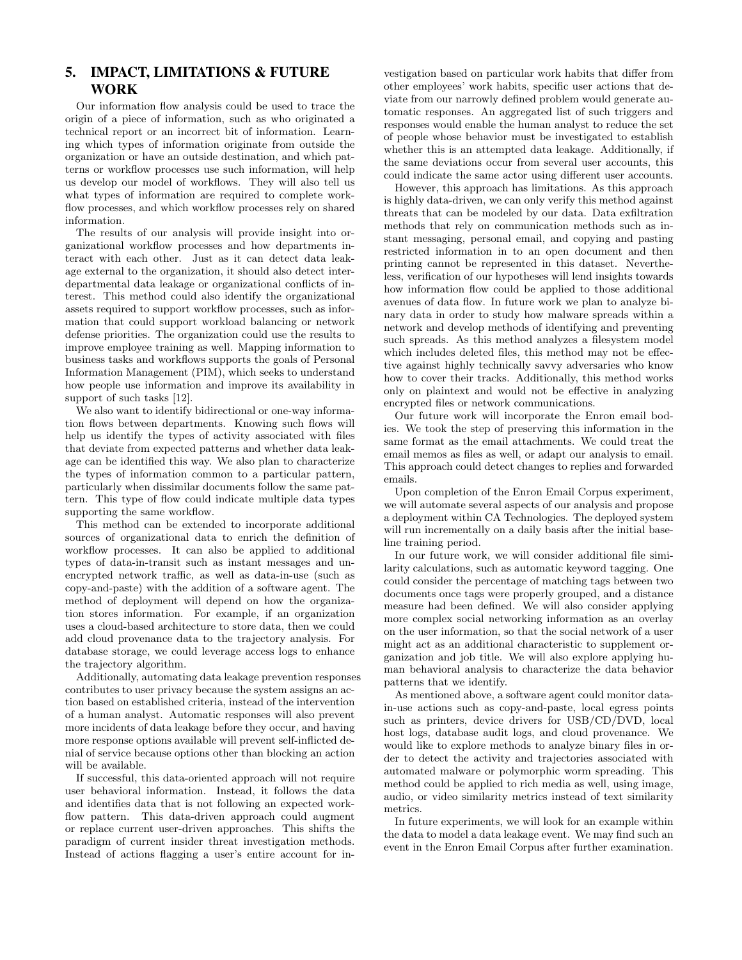# 5. IMPACT, LIMITATIONS & FUTURE WORK

Our information flow analysis could be used to trace the origin of a piece of information, such as who originated a technical report or an incorrect bit of information. Learning which types of information originate from outside the organization or have an outside destination, and which patterns or workflow processes use such information, will help us develop our model of workflows. They will also tell us what types of information are required to complete workflow processes, and which workflow processes rely on shared information.

The results of our analysis will provide insight into organizational workflow processes and how departments interact with each other. Just as it can detect data leakage external to the organization, it should also detect interdepartmental data leakage or organizational conflicts of interest. This method could also identify the organizational assets required to support workflow processes, such as information that could support workload balancing or network defense priorities. The organization could use the results to improve employee training as well. Mapping information to business tasks and workflows supports the goals of Personal Information Management (PIM), which seeks to understand how people use information and improve its availability in support of such tasks [12].

We also want to identify bidirectional or one-way information flows between departments. Knowing such flows will help us identify the types of activity associated with files that deviate from expected patterns and whether data leakage can be identified this way. We also plan to characterize the types of information common to a particular pattern, particularly when dissimilar documents follow the same pattern. This type of flow could indicate multiple data types supporting the same workflow.

This method can be extended to incorporate additional sources of organizational data to enrich the definition of workflow processes. It can also be applied to additional types of data-in-transit such as instant messages and unencrypted network traffic, as well as data-in-use (such as copy-and-paste) with the addition of a software agent. The method of deployment will depend on how the organization stores information. For example, if an organization uses a cloud-based architecture to store data, then we could add cloud provenance data to the trajectory analysis. For database storage, we could leverage access logs to enhance the trajectory algorithm.

Additionally, automating data leakage prevention responses contributes to user privacy because the system assigns an action based on established criteria, instead of the intervention of a human analyst. Automatic responses will also prevent more incidents of data leakage before they occur, and having more response options available will prevent self-inflicted denial of service because options other than blocking an action will be available.

If successful, this data-oriented approach will not require user behavioral information. Instead, it follows the data and identifies data that is not following an expected workflow pattern. This data-driven approach could augment or replace current user-driven approaches. This shifts the paradigm of current insider threat investigation methods. Instead of actions flagging a user's entire account for investigation based on particular work habits that differ from other employees' work habits, specific user actions that deviate from our narrowly defined problem would generate automatic responses. An aggregated list of such triggers and responses would enable the human analyst to reduce the set of people whose behavior must be investigated to establish whether this is an attempted data leakage. Additionally, if the same deviations occur from several user accounts, this could indicate the same actor using different user accounts.

However, this approach has limitations. As this approach is highly data-driven, we can only verify this method against threats that can be modeled by our data. Data exfiltration methods that rely on communication methods such as instant messaging, personal email, and copying and pasting restricted information in to an open document and then printing cannot be represented in this dataset. Nevertheless, verification of our hypotheses will lend insights towards how information flow could be applied to those additional avenues of data flow. In future work we plan to analyze binary data in order to study how malware spreads within a network and develop methods of identifying and preventing such spreads. As this method analyzes a filesystem model which includes deleted files, this method may not be effective against highly technically savvy adversaries who know how to cover their tracks. Additionally, this method works only on plaintext and would not be effective in analyzing encrypted files or network communications.

Our future work will incorporate the Enron email bodies. We took the step of preserving this information in the same format as the email attachments. We could treat the email memos as files as well, or adapt our analysis to email. This approach could detect changes to replies and forwarded emails.

Upon completion of the Enron Email Corpus experiment, we will automate several aspects of our analysis and propose a deployment within CA Technologies. The deployed system will run incrementally on a daily basis after the initial baseline training period.

In our future work, we will consider additional file similarity calculations, such as automatic keyword tagging. One could consider the percentage of matching tags between two documents once tags were properly grouped, and a distance measure had been defined. We will also consider applying more complex social networking information as an overlay on the user information, so that the social network of a user might act as an additional characteristic to supplement organization and job title. We will also explore applying human behavioral analysis to characterize the data behavior patterns that we identify.

As mentioned above, a software agent could monitor datain-use actions such as copy-and-paste, local egress points such as printers, device drivers for USB/CD/DVD, local host logs, database audit logs, and cloud provenance. We would like to explore methods to analyze binary files in order to detect the activity and trajectories associated with automated malware or polymorphic worm spreading. This method could be applied to rich media as well, using image, audio, or video similarity metrics instead of text similarity metrics.

In future experiments, we will look for an example within the data to model a data leakage event. We may find such an event in the Enron Email Corpus after further examination.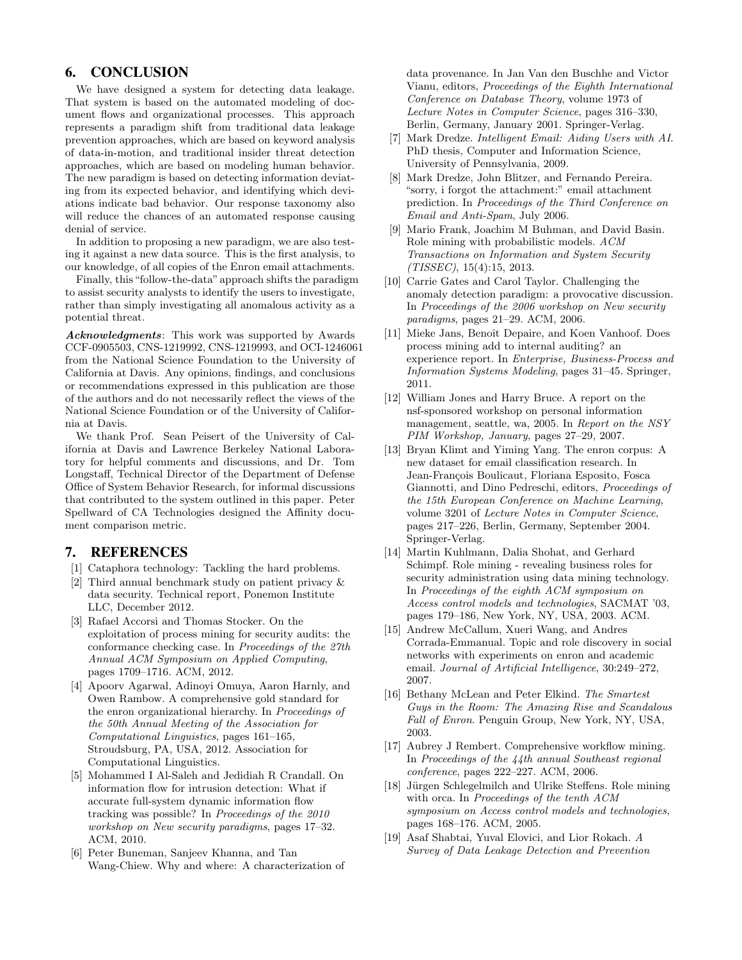# 6. CONCLUSION

We have designed a system for detecting data leakage. That system is based on the automated modeling of document flows and organizational processes. This approach represents a paradigm shift from traditional data leakage prevention approaches, which are based on keyword analysis of data-in-motion, and traditional insider threat detection approaches, which are based on modeling human behavior. The new paradigm is based on detecting information deviating from its expected behavior, and identifying which deviations indicate bad behavior. Our response taxonomy also will reduce the chances of an automated response causing denial of service.

In addition to proposing a new paradigm, we are also testing it against a new data source. This is the first analysis, to our knowledge, of all copies of the Enron email attachments.

Finally, this "follow-the-data"approach shifts the paradigm to assist security analysts to identify the users to investigate, rather than simply investigating all anomalous activity as a potential threat.

Acknowledgments: This work was supported by Awards CCF-0905503, CNS-1219992, CNS-1219993, and OCI-1246061 from the National Science Foundation to the University of California at Davis. Any opinions, findings, and conclusions or recommendations expressed in this publication are those of the authors and do not necessarily reflect the views of the National Science Foundation or of the University of California at Davis.

We thank Prof. Sean Peisert of the University of California at Davis and Lawrence Berkeley National Laboratory for helpful comments and discussions, and Dr. Tom Longstaff, Technical Director of the Department of Defense Office of System Behavior Research, for informal discussions that contributed to the system outlined in this paper. Peter Spellward of CA Technologies designed the Affinity document comparison metric.

## 7. REFERENCES

- [1] Cataphora technology: Tackling the hard problems.
- [2] Third annual benchmark study on patient privacy & data security. Technical report, Ponemon Institute LLC, December 2012.
- [3] Rafael Accorsi and Thomas Stocker. On the exploitation of process mining for security audits: the conformance checking case. In Proceedings of the 27th Annual ACM Symposium on Applied Computing, pages 1709–1716. ACM, 2012.
- [4] Apoorv Agarwal, Adinoyi Omuya, Aaron Harnly, and Owen Rambow. A comprehensive gold standard for the enron organizational hierarchy. In Proceedings of the 50th Annual Meeting of the Association for Computational Linguistics, pages 161–165, Stroudsburg, PA, USA, 2012. Association for Computational Linguistics.
- [5] Mohammed I Al-Saleh and Jedidiah R Crandall. On information flow for intrusion detection: What if accurate full-system dynamic information flow tracking was possible? In Proceedings of the 2010 workshop on New security paradigms, pages 17–32. ACM, 2010.
- [6] Peter Buneman, Sanjeev Khanna, and Tan Wang-Chiew. Why and where: A characterization of

data provenance. In Jan Van den Buschhe and Victor Vianu, editors, Proceedings of the Eighth International Conference on Database Theory, volume 1973 of Lecture Notes in Computer Science, pages 316–330, Berlin, Germany, January 2001. Springer-Verlag.

- [7] Mark Dredze. Intelligent Email: Aiding Users with AI. PhD thesis, Computer and Information Science, University of Pennsylvania, 2009.
- [8] Mark Dredze, John Blitzer, and Fernando Pereira. "sorry, i forgot the attachment:" email attachment prediction. In Proceedings of the Third Conference on Email and Anti-Spam, July 2006.
- [9] Mario Frank, Joachim M Buhman, and David Basin. Role mining with probabilistic models. ACM Transactions on Information and System Security  $(TISSEC)$ , 15(4):15, 2013.
- [10] Carrie Gates and Carol Taylor. Challenging the anomaly detection paradigm: a provocative discussion. In Proceedings of the 2006 workshop on New security paradigms, pages 21–29. ACM, 2006.
- [11] Mieke Jans, Benoît Depaire, and Koen Vanhoof. Does process mining add to internal auditing? an experience report. In Enterprise, Business-Process and Information Systems Modeling, pages 31–45. Springer, 2011.
- [12] William Jones and Harry Bruce. A report on the nsf-sponsored workshop on personal information management, seattle, wa, 2005. In Report on the NSY PIM Workshop, January, pages 27–29, 2007.
- [13] Bryan Klimt and Yiming Yang. The enron corpus: A new dataset for email classification research. In Jean-François Boulicaut, Floriana Esposito, Fosca Giannotti, and Dino Pedreschi, editors, Proceedings of the 15th European Conference on Machine Learning, volume 3201 of Lecture Notes in Computer Science, pages 217–226, Berlin, Germany, September 2004. Springer-Verlag.
- [14] Martin Kuhlmann, Dalia Shohat, and Gerhard Schimpf. Role mining - revealing business roles for security administration using data mining technology. In Proceedings of the eighth ACM symposium on Access control models and technologies, SACMAT '03, pages 179–186, New York, NY, USA, 2003. ACM.
- [15] Andrew McCallum, Xueri Wang, and Andres Corrada-Emmanual. Topic and role discovery in social networks with experiments on enron and academic email. Journal of Artificial Intelligence, 30:249–272, 2007.
- [16] Bethany McLean and Peter Elkind. The Smartest Guys in the Room: The Amazing Rise and Scandalous Fall of Enron. Penguin Group, New York, NY, USA, 2003.
- [17] Aubrey J Rembert. Comprehensive workflow mining. In Proceedings of the 44th annual Southeast regional conference, pages 222–227. ACM, 2006.
- [18] Jürgen Schlegelmilch and Ulrike Steffens. Role mining with orca. In Proceedings of the tenth ACM symposium on Access control models and technologies, pages 168–176. ACM, 2005.
- [19] Asaf Shabtai, Yuval Elovici, and Lior Rokach. A Survey of Data Leakage Detection and Prevention